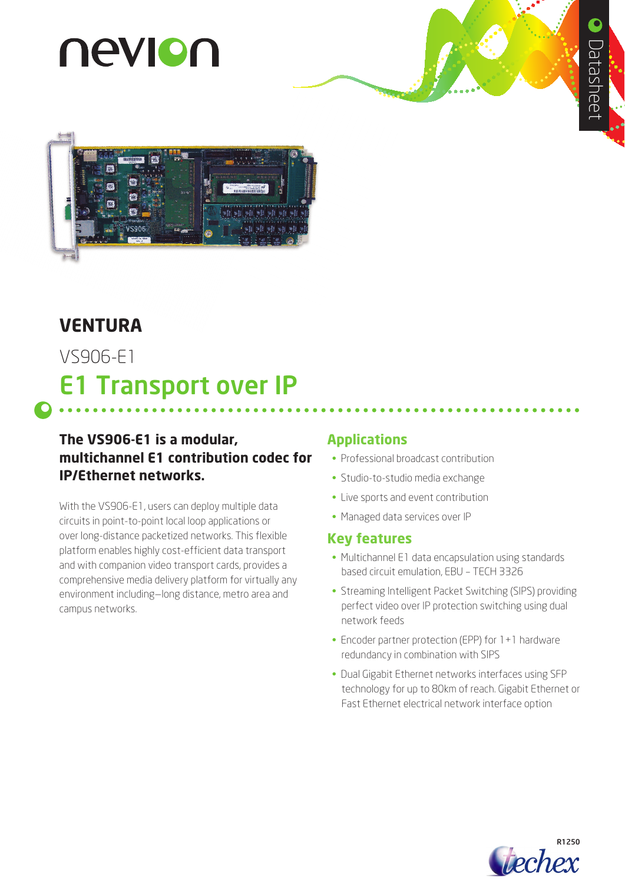# nevion



# **VENTURA**

VS906-E1

# E1 Transport over IP

# **The VS906-E1 is a modular, multichannel E1 contribution codec for IP/Ethernet networks.**

With the VS906-E1, users can deploy multiple data circuits in point-to-point local loop applications or over long-distance packetized networks. This flexible platform enables highly cost-efficient data transport and with companion video transport cards, provides a comprehensive media delivery platform for virtually any environment including—long distance, metro area and campus networks.

# **Applications**

- Professional broadcast contribution
- Studio-to-studio media exchange
- Live sports and event contribution
- Managed data services over IP

### **Key features**

- Multichannel E1 data encapsulation using standards based circuit emulation, EBU – TECH 3326
- Streaming Intelligent Packet Switching (SIPS) providing perfect video over IP protection switching using dual network feeds
- Encoder partner protection (EPP) for 1+1 hardware redundancy in combination with SIPS
- Dual Gigabit Ethernet networks interfaces using SFP technology for up to 80km of reach. Gigabit Ethernet or Fast Ethernet electrical network interface option

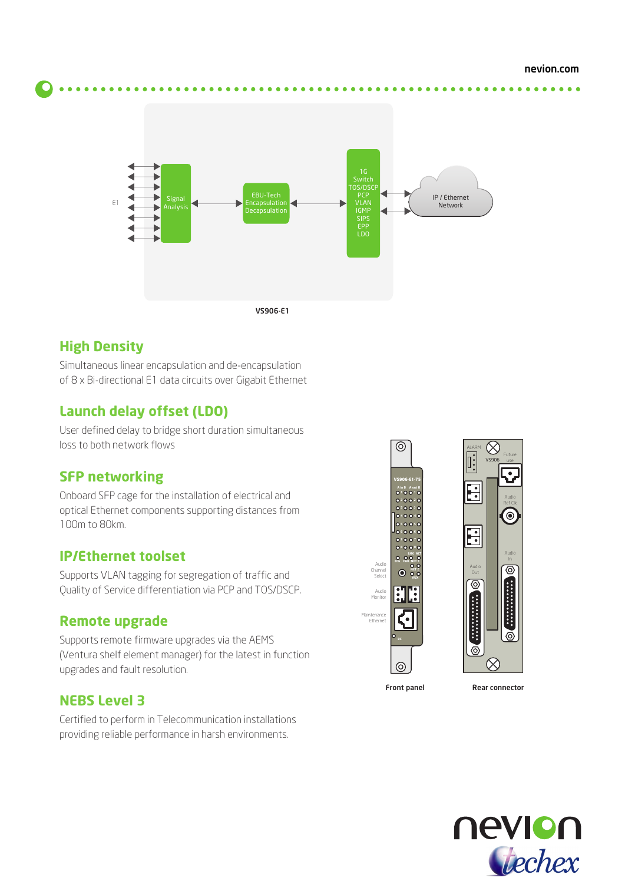$\bullet\bullet\bullet\bullet$ 



## **High Density**

Simultaneous linear encapsulation and de-encapsulation of 8 x Bi-directional E1 data circuits over Gigabit Ethernet

# **Launch delay offset (LDO)**

User defined delay to bridge short duration simultaneous loss to both network flows

### **SFP networking**

Onboard SFP cage for the installation of electrical and optical Ethernet components supporting distances from 100m to 80km.

### **IP/Ethernet toolset**

Supports VLAN tagging for segregation of traffic and Quality of Service differentiation via PCP and TOS/DSCP.

### **Remote upgrade**

Supports remote firmware upgrades via the AEMS (Ventura shelf element manager) for the latest in function upgrades and fault resolution.

### **NEBS Level 3**

Certified to perform in Telecommunication installations providing reliable performance in harsh environments.





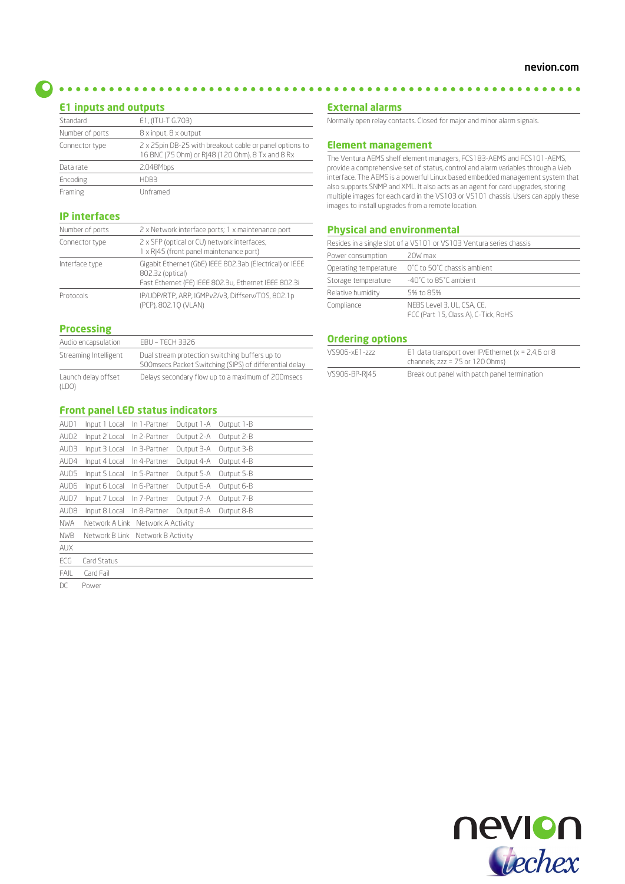**E1 inputs and outputs**

| <b>CI IIIputs and outputs</b> |                                                                                                             |  |  |
|-------------------------------|-------------------------------------------------------------------------------------------------------------|--|--|
| Standard                      | E1, (ITU-T G.703)                                                                                           |  |  |
| Number of ports               | 8 x input, 8 x output                                                                                       |  |  |
| Connector type                | 2 x 25pin DB-25 with breakout cable or panel options to<br>16 BNC (75 Ohm) or RJ48 (120 Ohm), 8 Tx and 8 Rx |  |  |
| Data rate                     | 2.048Mbps                                                                                                   |  |  |
| Encoding                      | HDB3                                                                                                        |  |  |
| Framing                       | Unframed                                                                                                    |  |  |

#### **IP interfaces**

| Number of ports | 2 x Network interface ports; 1 x maintenance port                                                                                    |  |
|-----------------|--------------------------------------------------------------------------------------------------------------------------------------|--|
| Connector type  | 2 x SFP (optical or CU) network interfaces,<br>1 x RJ45 (front panel maintenance port)                                               |  |
| Interface type  | Gigabit Ethernet (GbE) IEEE 802.3ab (Electrical) or IEEE<br>802.3z (optical)<br>Fast Ethernet (FE) IEEE 802.3u, Ethernet IEEE 802.3i |  |
| Protocols       | IP/UDP/RTP, ARP, IGMPv2/v3, Diffserv/TOS, 802.1p<br>(PCP), 802.10 (VLAN)                                                             |  |

#### **Processing**

| Audio encapsulation          | <b>FBU – TECH 3326</b>                                                                                    |
|------------------------------|-----------------------------------------------------------------------------------------------------------|
| Streaming Intelligent        | Dual stream protection switching buffers up to<br>500 msecs Packet Switching (SIPS) of differential delay |
| Launch delay offset<br>(LDO) | Delays secondary flow up to a maximum of 200msecs                                                         |

#### **Front panel LED status indicators**

| AUD1             | Input 1 Local                     | In 1-Partner       | Output 1-A | Output 1-B |  |
|------------------|-----------------------------------|--------------------|------------|------------|--|
| AUD <sub>2</sub> | Input 2 Local                     | In 2-Partner       | Output 2-A | Output 2-B |  |
| AUD3             | Input 3 Local                     | In 3-Partner       | Output 3-A | Output 3-B |  |
| AUD4             | Input 4 Local                     | In 4-Partner       | Output 4-A | Output 4-B |  |
| AUD5             | Input 5 Local                     | In 5-Partner       | Output 5-A | Output 5-B |  |
| AUD6             | Input 6 Local                     | In 6-Partner       | Output 6-A | Output 6-B |  |
| AUD7             | Input 7 Local                     | In 7-Partner       | Output 7-A | Output 7-B |  |
| AUD <sub>8</sub> | Input 8 Local                     | In 8-Partner       | Output 8-A | Output 8-B |  |
| <b>NWA</b>       | Network A Link                    | Network A Activity |            |            |  |
| <b>NWB</b>       | Network B Link Network B Activity |                    |            |            |  |
| <b>AUX</b>       |                                   |                    |            |            |  |
| ECG              | Card Status                       |                    |            |            |  |
| <b>FAIL</b>      | Card Fail                         |                    |            |            |  |
| DC.              |                                   |                    |            |            |  |

DC Power

#### **External alarms**

Normally open relay contacts. Closed for major and minor alarm signals.

#### **Element management**

The Ventura AEMS shelf element managers, FCS183-AEMS and FCS101-AEMS, provide a comprehensive set of status, control and alarm variables through a Web interface. The AEMS is a powerful Linux based embedded management system that also supports SNMP and XML. It also acts as an agent for card upgrades, storing multiple images for each card in the VS103 or VS101 chassis. Users can apply these images to install upgrades from a remote location.

#### **Physical and environmental**

|                       | Resides in a single slot of a VS101 or VS103 Ventura series chassis |
|-----------------------|---------------------------------------------------------------------|
| Power consumption     | 20W max                                                             |
| Operating temperature | O°C to 50°C chassis ambient                                         |
| Storage temperature   | -40°C to 85°C ambient                                               |
| Relative humidity     | 5% to 85%                                                           |
| Compliance            | NEBS Level 3, UL, CSA, CE,<br>FCC (Part 15, Class A), C-Tick, RoHS  |

#### **Ordering options**

| VS906-xF1-zzz | E1 data transport over IP/Ethernet ( $x = 2,4,6$ or 8<br>channels; $zzz = 75$ or $120$ Ohms) |
|---------------|----------------------------------------------------------------------------------------------|
| VS906-BP-RI45 | Break out panel with patch panel termination                                                 |